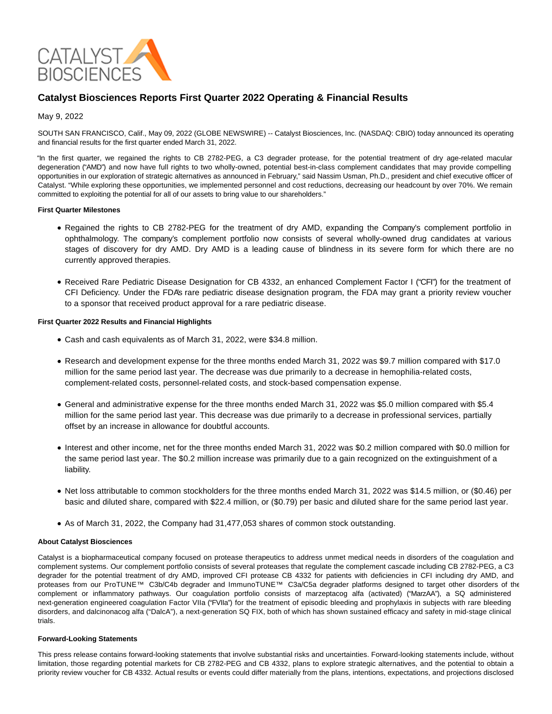

# **Catalyst Biosciences Reports First Quarter 2022 Operating & Financial Results**

### May 9, 2022

SOUTH SAN FRANCISCO, Calif., May 09, 2022 (GLOBE NEWSWIRE) -- Catalyst Biosciences, Inc. (NASDAQ: CBIO) today announced its operating and financial results for the first quarter ended March 31, 2022.

"In the first quarter, we regained the rights to CB 2782-PEG, a C3 degrader protease, for the potential treatment of dry age-related macular degeneration ("AMD") and now have full rights to two wholly-owned, potential best-in-class complement candidates that may provide compelling opportunities in our exploration of strategic alternatives as announced in February," said Nassim Usman, Ph.D., president and chief executive officer of Catalyst. "While exploring these opportunities, we implemented personnel and cost reductions, decreasing our headcount by over 70%. We remain committed to exploiting the potential for all of our assets to bring value to our shareholders."

#### **First Quarter Milestones**

- Regained the rights to CB 2782-PEG for the treatment of dry AMD, expanding the Company's complement portfolio in ophthalmology. The company's complement portfolio now consists of several wholly-owned drug candidates at various stages of discovery for dry AMD. Dry AMD is a leading cause of blindness in its severe form for which there are no currently approved therapies.
- Received Rare Pediatric Disease Designation for CB 4332, an enhanced Complement Factor I ("CFI") for the treatment of CFI Deficiency. Under the FDA's rare pediatric disease designation program, the FDA may grant a priority review voucher to a sponsor that received product approval for a rare pediatric disease.

#### **First Quarter 2022 Results and Financial Highlights**

- Cash and cash equivalents as of March 31, 2022, were \$34.8 million.
- Research and development expense for the three months ended March 31, 2022 was \$9.7 million compared with \$17.0 million for the same period last year. The decrease was due primarily to a decrease in hemophilia-related costs, complement-related costs, personnel-related costs, and stock-based compensation expense.
- General and administrative expense for the three months ended March 31, 2022 was \$5.0 million compared with \$5.4 million for the same period last year. This decrease was due primarily to a decrease in professional services, partially offset by an increase in allowance for doubtful accounts.
- Interest and other income, net for the three months ended March 31, 2022 was \$0.2 million compared with \$0.0 million for the same period last year. The \$0.2 million increase was primarily due to a gain recognized on the extinguishment of a liability.
- Net loss attributable to common stockholders for the three months ended March 31, 2022 was \$14.5 million, or (\$0.46) per basic and diluted share, compared with \$22.4 million, or (\$0.79) per basic and diluted share for the same period last year.
- As of March 31, 2022, the Company had 31,477,053 shares of common stock outstanding.

#### **About Catalyst Biosciences**

Catalyst is a biopharmaceutical company focused on protease therapeutics to address unmet medical needs in disorders of the coagulation and complement systems. Our complement portfolio consists of several proteases that regulate the complement cascade including CB 2782-PEG, a C3 degrader for the potential treatment of dry AMD, improved CFI protease CB 4332 for patients with deficiencies in CFI including dry AMD, and proteases from our ProTUNE™ C3b/C4b degrader and ImmunoTUNE™ C3a/C5a degrader platforms designed to target other disorders of the complement or inflammatory pathways. Our coagulation portfolio consists of marzeptacog alfa (activated) ("MarzAA"), a SQ administered next-generation engineered coagulation Factor VIIa ("FVIIa") for the treatment of episodic bleeding and prophylaxis in subjects with rare bleeding disorders, and dalcinonacog alfa ("DalcA"), a next-generation SQ FIX, both of which has shown sustained efficacy and safety in mid-stage clinical trials.

## **Forward-Looking Statements**

This press release contains forward-looking statements that involve substantial risks and uncertainties. Forward-looking statements include, without limitation, those regarding potential markets for CB 2782-PEG and CB 4332, plans to explore strategic alternatives, and the potential to obtain a priority review voucher for CB 4332. Actual results or events could differ materially from the plans, intentions, expectations, and projections disclosed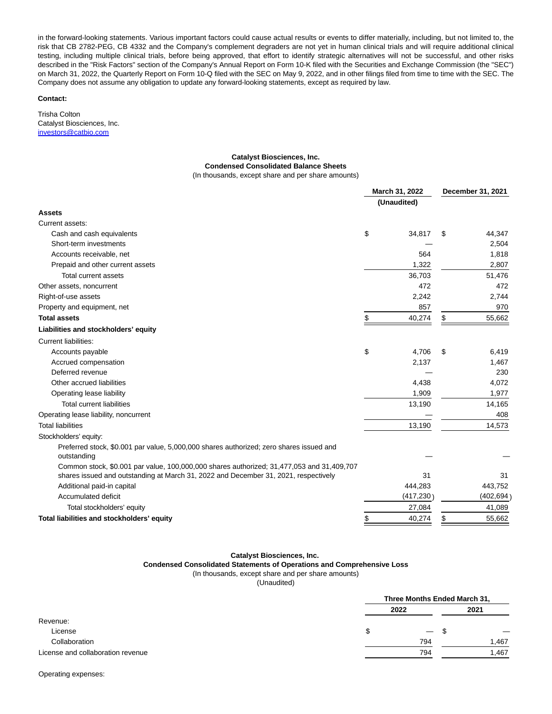in the forward-looking statements. Various important factors could cause actual results or events to differ materially, including, but not limited to, the risk that CB 2782-PEG, CB 4332 and the Company's complement degraders are not yet in human clinical trials and will require additional clinical testing, including multiple clinical trials, before being approved, that effort to identify strategic alternatives will not be successful, and other risks described in the "Risk Factors" section of the Company's Annual Report on Form 10-K filed with the Securities and Exchange Commission (the "SEC") on March 31, 2022, the Quarterly Report on Form 10-Q filed with the SEC on May 9, 2022, and in other filings filed from time to time with the SEC. The Company does not assume any obligation to update any forward-looking statements, except as required by law.

#### **Contact:**

Trisha Colton Catalyst Biosciences, Inc. [investors@catbio.com](https://www.globenewswire.com/Tracker?data=TiVq-EeXTDpPvQjuvrwNiyC0BYIQN_VPHpyxrm2fpFWPrzRprDHQIBIlt1Va6nY8YNovz1ZFL3HIjkixctArQKSonX0jcgOUDaAuwUmKph4482aSyYflM_3_TIrtRXMvap6M9uvV8NTApJCA-aIq3AzUid7AikqL9UnlKpLuNBZqro9B0fBaPKUw49mpPVmNixQeE57_nuhsWpwGrBW9SmUoG6QYqIPkbDBUZm12qOnHmbB24udTT2Gh5MDIgBPf3YCa5F0fc45Am0Mj_lKfxQ==)

# **Catalyst Biosciences, Inc. Condensed Consolidated Balance Sheets**

(In thousands, except share and per share amounts)

|                                                                                           |    | March 31, 2022<br>(Unaudited) |    | December 31, 2021 |  |
|-------------------------------------------------------------------------------------------|----|-------------------------------|----|-------------------|--|
|                                                                                           |    |                               |    |                   |  |
| Assets                                                                                    |    |                               |    |                   |  |
| Current assets:                                                                           |    |                               |    |                   |  |
| Cash and cash equivalents                                                                 | \$ | 34,817                        | \$ | 44,347            |  |
| Short-term investments                                                                    |    |                               |    | 2,504             |  |
| Accounts receivable, net                                                                  |    | 564                           |    | 1,818             |  |
| Prepaid and other current assets                                                          |    | 1,322                         |    | 2,807             |  |
| Total current assets                                                                      |    | 36,703                        |    | 51,476            |  |
| Other assets, noncurrent                                                                  |    | 472                           |    | 472               |  |
| Right-of-use assets                                                                       |    | 2,242                         |    | 2,744             |  |
| Property and equipment, net                                                               |    | 857                           |    | 970               |  |
| <b>Total assets</b>                                                                       | \$ | 40,274                        | \$ | 55,662            |  |
| Liabilities and stockholders' equity                                                      |    |                               |    |                   |  |
| <b>Current liabilities:</b>                                                               |    |                               |    |                   |  |
| Accounts payable                                                                          | \$ | 4,706                         | \$ | 6,419             |  |
| Accrued compensation                                                                      |    | 2,137                         |    | 1,467             |  |
| Deferred revenue                                                                          |    |                               |    | 230               |  |
| Other accrued liabilities                                                                 |    | 4,438                         |    | 4,072             |  |
| Operating lease liability                                                                 |    | 1,909                         |    | 1,977             |  |
| <b>Total current liabilities</b>                                                          |    | 13,190                        |    | 14,165            |  |
| Operating lease liability, noncurrent                                                     |    |                               |    | 408               |  |
| <b>Total liabilities</b>                                                                  |    | 13,190                        |    | 14,573            |  |
| Stockholders' equity:                                                                     |    |                               |    |                   |  |
| Preferred stock, \$0.001 par value, 5,000,000 shares authorized; zero shares issued and   |    |                               |    |                   |  |
| outstanding                                                                               |    |                               |    |                   |  |
| Common stock, \$0.001 par value, 100,000,000 shares authorized; 31,477,053 and 31,409,707 |    |                               |    |                   |  |
| shares issued and outstanding at March 31, 2022 and December 31, 2021, respectively       |    | 31                            |    | 31                |  |
| Additional paid-in capital                                                                |    | 444,283                       |    | 443,752           |  |
| Accumulated deficit                                                                       |    | (417, 230)                    |    | (402, 694)        |  |
| Total stockholders' equity                                                                |    | 27,084                        |    | 41,089            |  |
| Total liabilities and stockholders' equity                                                | \$ | 40,274                        | \$ | 55,662            |  |

# **Catalyst Biosciences, Inc.**

**Condensed Consolidated Statements of Operations and Comprehensive Loss**

(In thousands, except share and per share amounts)

(Unaudited)

|                                   |   | Three Months Ended March 31, |       |  |  |
|-----------------------------------|---|------------------------------|-------|--|--|
|                                   |   | 2022                         | 2021  |  |  |
| Revenue:                          |   |                              |       |  |  |
| License                           | S | $\qquad \qquad -$            | \$.   |  |  |
| Collaboration                     |   | 794                          | 1,467 |  |  |
| License and collaboration revenue |   | 794                          | 1,467 |  |  |

Operating expenses: